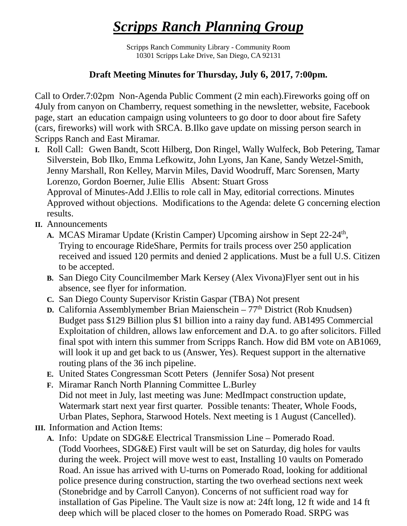## *Scripps Ranch Planning Group*

Scripps Ranch Community Library - Community Room 10301 Scripps Lake Drive, San Diego, CA 92131

## **Draft Meeting Minutes for Thursday, July 6, 2017, 7:00pm.**

Call to Order.7:02pm Non-Agenda Public Comment (2 min each).Fireworks going off on 4July from canyon on Chamberry, request something in the newsletter, website, Facebook page, start an education campaign using volunteers to go door to door about fire Safety (cars, fireworks) will work with SRCA. B.Ilko gave update on missing person search in Scripps Ranch and East Miramar.

- **I.** Roll Call: Gwen Bandt, Scott Hilberg, Don Ringel, Wally Wulfeck, Bob Petering, Tamar Silverstein, Bob Ilko, Emma Lefkowitz, John Lyons, Jan Kane, Sandy Wetzel-Smith, Jenny Marshall, Ron Kelley, Marvin Miles, David Woodruff, Marc Sorensen, Marty Lorenzo, Gordon Boerner, Julie Ellis Absent: Stuart Gross Approval of Minutes-Add J.Ellis to role call in May, editorial corrections. Minutes Approved without objections. Modifications to the Agenda: delete G concerning election results.
- **II.** Announcements
	- A. MCAS Miramar Update (Kristin Camper) Upcoming airshow in Sept 22-24<sup>th</sup>, Trying to encourage RideShare, Permits for trails process over 250 application received and issued 120 permits and denied 2 applications. Must be a full U.S. Citizen to be accepted.
	- **B.** San Diego City Councilmember Mark Kersey (Alex Vivona)Flyer sent out in his absence, see flyer for information.
	- **C.** San Diego County Supervisor Kristin Gaspar (TBA) Not present
	- **D.** California Assemblymember Brian Maienschein 77<sup>th</sup> District (Rob Knudsen) Budget pass \$129 Billion plus \$1 billion into a rainy day fund. AB1495 Commercial Exploitation of children, allows law enforcement and D.A. to go after solicitors. Filled final spot with intern this summer from Scripps Ranch. How did BM vote on AB1069, will look it up and get back to us (Answer, Yes). Request support in the alternative routing plans of the 36 inch pipeline.
	- **E.** United States Congressman Scott Peters (Jennifer Sosa) Not present
	- **F.** Miramar Ranch North Planning Committee L.Burley Did not meet in July, last meeting was June: MedImpact construction update, Watermark start next year first quarter. Possible tenants: Theater, Whole Foods, Urban Plates, Sephora, Starwood Hotels. Next meeting is 1 August (Cancelled).
- **III.** Information and Action Items:
	- **A.** Info: Update on SDG&E Electrical Transmission Line Pomerado Road. (Todd Voorhees, SDG&E) First vault will be set on Saturday, dig holes for vaults during the week. Project will move west to east, Installing 10 vaults on Pomerado Road. An issue has arrived with U-turns on Pomerado Road, looking for additional police presence during construction, starting the two overhead sections next week (Stonebridge and by Carroll Canyon). Concerns of not sufficient road way for installation of Gas Pipeline. The Vault size is now at: 24ft long, 12 ft wide and 14 ft deep which will be placed closer to the homes on Pomerado Road. SRPG was